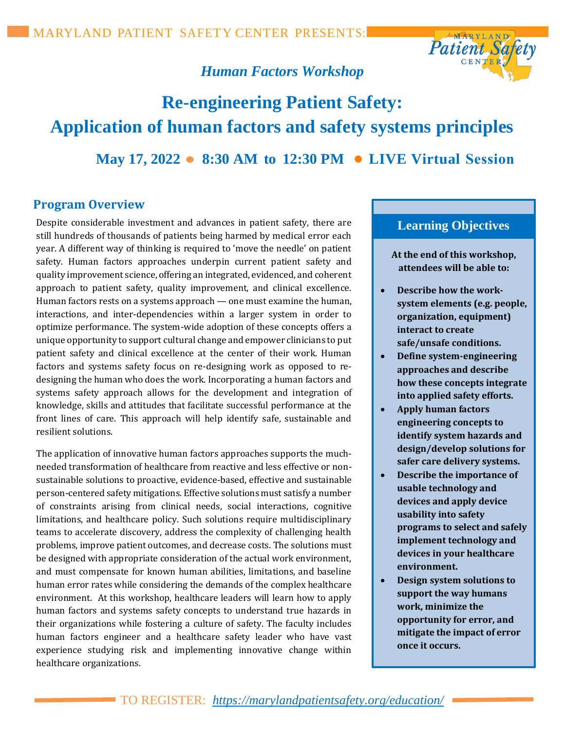

# *Human Factors Workshop*

# **Re-engineering Patient Safety: Application of human factors and safety systems principles May 17, 2022 ● 8:30 AM to 12:30 PM ● LIVE Virtual Session**

#### **Program Overview**

Despite considerable investment and advances in patient safety, there are still hundreds of thousands of patients being harmed by medical error each year. A different way of thinking is required to 'move the needle' on patient safety. Human factors approaches underpin current patient safety and quality improvement science, offering an integrated, evidenced, and coherent approach to patient safety, quality improvement, and clinical excellence. Human factors rests on a systems approach — one must examine the human, interactions, and inter-dependencies within a larger system in order to optimize performance. The system-wide adoption of these concepts offers a unique opportunity to support cultural change and empower clinicians to put patient safety and clinical excellence at the center of their work. Human factors and systems safety focus on re-designing work as opposed to redesigning the human who does the work. Incorporating a human factors and systems safety approach allows for the development and integration of knowledge, skills and attitudes that facilitate successful performance at the front lines of care. This approach will help identify safe, sustainable and resilient solutions.

The application of innovative human factors approaches supports the muchneeded transformation of healthcare from reactive and less effective or nonsustainable solutions to proactive, evidence-based, effective and sustainable person-centered safety mitigations. Effective solutions must satisfy a number of constraints arising from clinical needs, social interactions, cognitive limitations, and healthcare policy. Such solutions require multidisciplinary teams to accelerate discovery, address the complexity of challenging health problems, improve patient outcomes, and decrease costs. The solutions must be designed with appropriate consideration of the actual work environment, and must compensate for known human abilities, limitations, and baseline human error rates while considering the demands of the complex healthcare environment. At this workshop, healthcare leaders will learn how to apply human factors and systems safety concepts to understand true hazards in their organizations while fostering a culture of safety. The faculty includes human factors engineer and a healthcare safety leader who have vast experience studying risk and implementing innovative change within healthcare organizations.

## **Learning Objectives**

- **At the end of this workshop, attendees will be able to:**
- **Describe how the worksystem elements (e.g. people, organization, equipment) interact to create safe/unsafe conditions.**
- **Define system-engineering approaches and describe how these concepts integrate into applied safety efforts.**
- **Apply human factors engineering concepts to identify system hazards and design/develop solutions for safer care delivery systems.**
- **Describe the importance of usable technology and devices and apply device usability into safety programs to select and safely implement technology and devices in your healthcare environment.**
- **Design system solutions to support the way humans work, minimize the opportunity for error, and mitigate the impact of error once it occurs.**